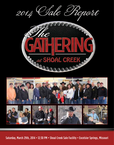



Saturday, March 29th, 2014 • 12:30 PM • Shoal Creek Sale Facility • Excelsior Springs, Missouri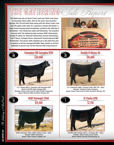## THE GATHERING Clare Prenant

The Gathering sale at Shoal Creek Land and Cattle took place on Saturday, March 29th, 2014 at the ranch near Excelsior Springs, MO. Ed and Kathi Rule along with the Shoal Creek crew open the gates wide open for customers, friends and family. A large crowd enjoyed grand hospitality, excellent sale offering of Simmental - Sim Influenced cattle and fellowship. The breeders involved with The Gathering Sale includes RS&T Simmentals, Double R Cattle CO, Dikeman Simmentals, Brooks Simmentals, Oval F Ranch, Schaake Farms, Diamond D Simmental and HBE Simmentals. This group really stepped up to the plate this year on quality as 68 lots averaged \$4,088. Many thanks to all that attended in person and via the internet with liveauctions.tv



Double R Alexus A4



## <sup>48</sup> Champion Hill Georgina 8318  $\frac{28}{20,000}$



S A V Brave 8320 x Champion Hill Georgina 6337 Bred to SS/PRS High Voltage 244X Breeder: Shoal Creek Land & Cattle & RS&T Simmental Buyer: Missouri Mafia, Excelsior Springs, MO



RS&T Homeboy Y108 x RS&T Golden Ticket – Open Breeder: RS&T Simmental Buyer: S Bar 5 Ranch, Wagner, OK



S A V Bismarck 5682 x Double R Miss 29G T18 – Open Breeder: Double R Cattle Company Buyer: Shoal Creek Land & Cattle, Excelsior Springs, MO



SS/PRS High Voltage 244X x JS Flashy 48T – Open Breeder: Shoal Creek Land & Cattle Buyer: Randy Schmidt, Emmetsburg, IA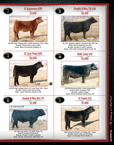

<code>SALEREDR</code> 2014  $\cdot$  *She Sadwing at Choal Creek* <code>SALE</code> <code>REPORT</code> 2014  $\cdot$  . The Stationing at Choal